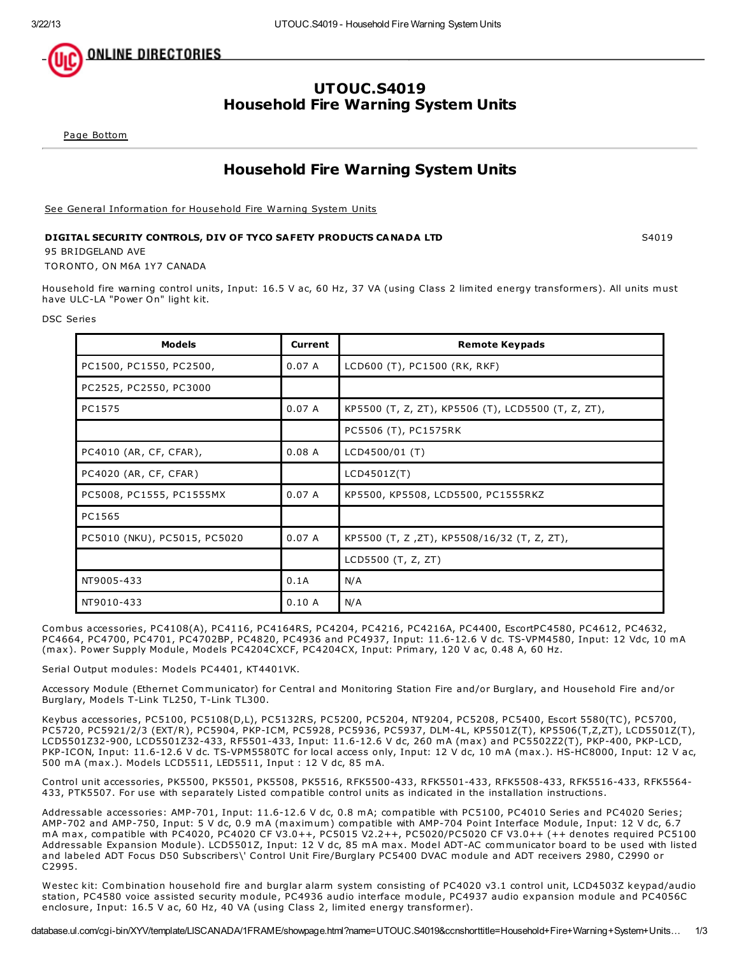

## UTOUC.S4019 Household Fire Warning System Units

Page [Bottom](http://database.ul.com/cgi-bin/XYV/template/LISCANADA/1FRAME/showpage.html?name=UTOUC.S4019&ccnshorttitle=Household+Fire+Warning+System+Units&objid=1076842789&cfgid=1073741824&version=versionless&parent_id=1076373991&sequence=1#PAGEBOTTOM)

# Household Fire Warning System Units

See General [Information](http://database.ul.com/cgi-bin/XYV/template/LISCANADA/1FRAME/showpage.html?&name=UTOUC.GuideInfo&ccnshorttitle=Household+Fire+Warning+System+Units&objid=1076373992&cfgid=1073741824&version=versionless&parent_id=1076373991&sequence=1) for Household Fire Warning System Units

### DIGITAL SECURITY CONTROLS, DIV OF TYCO SAFETY PRODUCTS CANADA LTD SANDIS SAND SAO19

95 BRIDGELAND AVE

TORONTO, ON M6A 1Y7 CANADA

Household fire warning control units, Input: 16.5 V ac, 60 Hz, 37 VA (using Class 2 limited energy transformers). All units must have ULC-LA "Power On" light kit.

DSC Series

| <b>Models</b>                | <b>Current</b> | <b>Remote Keypads</b>                              |  |
|------------------------------|----------------|----------------------------------------------------|--|
| PC1500, PC1550, PC2500,      | 0.07A          | LCD600 (T), PC1500 (RK, RKF)                       |  |
| PC2525, PC2550, PC3000       |                |                                                    |  |
| PC1575                       | 0.07A          | KP5500 (T, Z, ZT), KP5506 (T), LCD5500 (T, Z, ZT), |  |
|                              |                | PC5506 (T), PC1575RK                               |  |
| PC4010 (AR, CF, CFAR),       | 0.08A          | LCD4500/01 (T)                                     |  |
| PC4020 (AR, CF, CFAR)        |                | LCD4501Z(T)                                        |  |
| PC5008, PC1555, PC1555MX     | 0.07A          | KP5500, KP5508, LCD5500, PC1555RKZ                 |  |
| PC1565                       |                |                                                    |  |
| PC5010 (NKU), PC5015, PC5020 | 0.07A          | KP5500 (T, Z, ZT), KP5508/16/32 (T, Z, ZT),        |  |
|                              |                | LCD5500 (T, Z, ZT)                                 |  |
| NT9005-433                   | 0.1A           | N/A                                                |  |
| NT9010-433                   | 0.10A          | N/A                                                |  |

Combus accessories, PC4108(A), PC4116, PC4164RS, PC4204, PC4216, PC4216A, PC4400, EscortPC4580, PC4612, PC4632, PC4664, PC4700, PC4701, PC4702BP, PC4820, PC4936 and PC4937, Input: 11.6-12.6 V dc. TS-VPM4580, Input: 12 Vdc, 10 mA (max). Power Supply Module, Models PC4204CXCF, PC4204CX, Input: Primary, 120 V ac, 0.48 A, 60 Hz.

Serial Output modules: Models PC4401, KT4401VK.

Accessory Module (Ethernet Communicator) for Central and Monitoring Station Fire and/or Burglary, and Household Fire and/or Burglary, Models T-Link TL250, T-Link TL300.

Keybus accessories, PC5100, PC5108(D,L), PC5132RS, PC5200, PC5204, NT9204, PC5208, PC5400, Escort 5580(TC), PC5700, PC5720, PC5921/2/3 (EXT/R), PC5904, PKP-ICM, PC5928, PC5936, PC5937, DLM-4L, KP5501Z(T), KP5506(T,Z,ZT), LCD5501Z(T), LCD5501Z32-900, LCD5501Z32-433, RF5501-433, Input: 11.6-12.6 V dc, 260 mA (max) and PC5502Z2(T), PKP-400, PKP-LCD, PKP-ICON, Input: 11.6-12.6 V dc. TS-VPM5580TC for local access only, Input: 12 V dc, 10 mA (max.). HS-HC8000, Input: 12 V ac, 500 mA (max.). Models LCD5511, LED5511, Input : 12 V dc, 85 mA.

Control unit accessories, PK5500, PK5501, PK5508, PK5516, RFK5500-433, RFK5501-433, RFK5508-433, RFK5516-433, RFK5564- 433, PTK5507. For use with separately Listed compatible control units as indicated in the installation instructions.

Addressable accessories: AMP-701, Input: 11.6-12.6 V dc, 0.8 mA; compatible with PC5100, PC4010 Series and PC4020 Series; AMP-702 and AMP-750, Input: 5 V dc, 0.9 mA (maximum) compatible with AMP-704 Point Interface Module, Input: 12 V dc, 6.7 mA max, compatible with PC4020, PC4020 CF V3.0++, PC5015 V2.2++, PC5020/PC5020 CF V3.0++ (++ denotes required PC5100 Addressable Expansion Module). LCD5501Z, Input: 12 V dc, 85 mA max. Model ADT-AC communicator board to be used with listed and labeled ADT Focus D50 Subscribers\' Control Unit Fire/Burglary PC5400 DVAC module and ADT receivers 2980, C2990 or C2995.

Westec kit: Combination household fire and burglar alarm system consisting of PC4020 v3.1 control unit, LCD4503Z keypad/audio station, PC4580 voice assisted security module, PC4936 audio interface module, PC4937 audio expansion module and PC4056C enclosure, Input: 16.5 V ac, 60 Hz, 40 VA (using Class 2, limited energy transformer).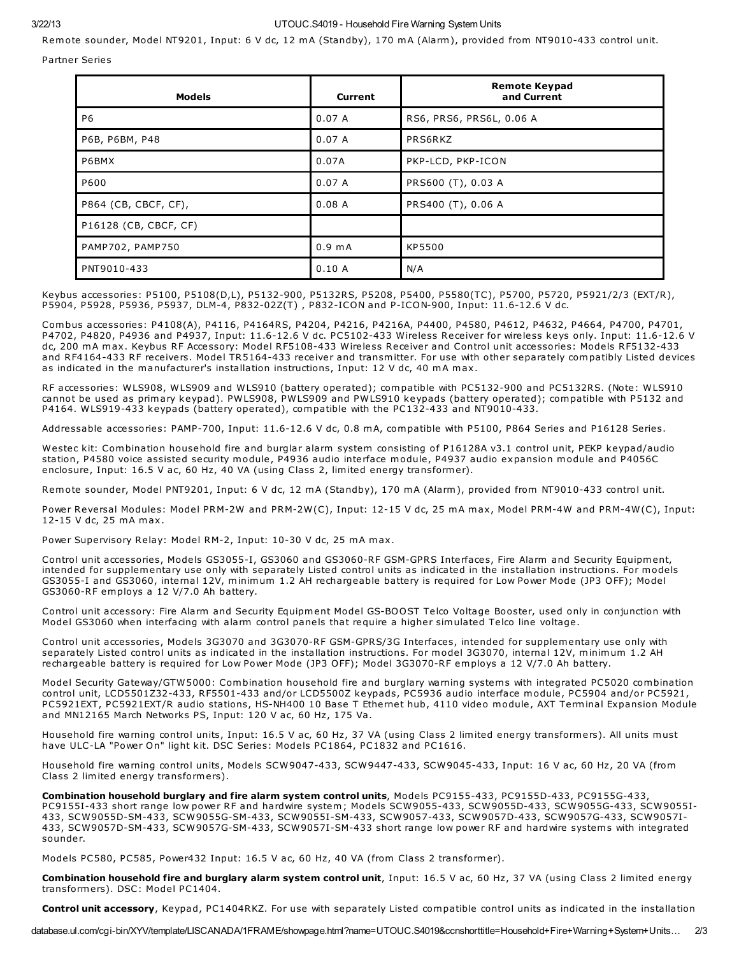#### 3/22/13 UTOUC.S4019 - Household Fire Warning System Units

Remote sounder, Model NT9201, Input: 6 V dc, 12 mA (Standby), 170 mA (Alarm), provided from NT9010-433 control unit.

Partner Series

| <b>Models</b>         | <b>Current</b>   | <b>Remote Keypad</b><br>and Current |
|-----------------------|------------------|-------------------------------------|
| P <sub>6</sub>        | 0.07A            | RS6, PRS6, PRS6L, 0.06 A            |
| P6B, P6BM, P48        | 0.07A            | PRS6RKZ                             |
| P6BMX                 | 0.07A            | PKP-LCD, PKP-ICON                   |
| P600                  | 0.07A            | PRS600 (T), 0.03 A                  |
| P864 (CB, CBCF, CF),  | 0.08A            | PRS400 (T), 0.06 A                  |
| P16128 (CB, CBCF, CF) |                  |                                     |
| PAMP702, PAMP750      | $0.9 \text{ mA}$ | KP5500                              |
| PNT9010-433           | 0.10A            | N/A                                 |

Keybus accessories: P5100, P5108(D,L), P5132-900, P5132RS, P5208, P5400, P5580(TC), P5700, P5720, P5921/2/3 (EXT/R), P5904, P5928, P5936, P5937, DLM-4, P832-02Z(T) , P832-ICON and P-ICON-900, Input: 11.6-12.6 V dc.

Combus accessories: P4108(A), P4116, P4164RS, P4204, P4216, P4216A, P4400, P4580, P4612, P4632, P4664, P4700, P4701, P4702, P4820, P4936 and P4937, Input: 11.6-12.6 V dc. PC5102-433 Wireless Receiver for wireless keys only. Input: 11.6-12.6 V dc, 200 mA max. Keybus RF Accessory: Model RF5108-433 Wireless Receiver and Control unit accessories: Models RF5132-433 and RF4164-433 RF receivers. Model TR5164-433 receiver and transmitter. For use with other separately compatibly Listed devices as indicated in the manufacturer's installation instructions, Input: 12 V dc, 40 mA max.

RF accessories: WLS908, WLS909 and WLS910 (battery operated); compatible with PC5132-900 and PC5132RS. (Note: WLS910 cannot be used as primary keypad). PWLS908, PWLS909 and PWLS910 keypads (battery operated); compatible with P5132 and P4164. WLS919-433 keypads (battery operated), compatible with the PC132-433 and NT9010-433.

Addressable accessories: PAMP-700, Input: 11.6-12.6 V dc, 0.8 mA, compatible with P5100, P864 Series and P16128 Series.

Westec kit: Combination household fire and burglar alarm system consisting of P16128A v3.1 control unit, PEKP keypad/audio station, P4580 voice assisted security module, P4936 audio interface module, P4937 audio expansion module and P4056C enclosure, Input: 16.5 V ac, 60 Hz, 40 VA (using Class 2, limited energy transformer).

Remote sounder, Model PNT9201, Input: 6 V dc, 12 mA (Standby), 170 mA (Alarm), provided from NT9010-433 control unit.

Power Reversal Modules: Model PRM-2W and PRM-2W(C), Input: 12-15 V dc, 25 mA max, Model PRM-4W and PRM-4W(C), Input: 12-15 V dc, 25 mA max.

Power Supervisory Relay: Model RM-2, Input: 10-30 V dc, 25 mA max.

Control unit accessories, Models GS3055-I, GS3060 and GS3060-RF GSM-GPRS Interfaces, Fire Alarm and Security Equipment, intended for supplementary use only with separately Listed control units as indicated in the installation instructions. For models GS3055-I and GS3060, internal 12V, minimum 1.2 AH rechargeable battery is required for Low Power Mode (JP3 OFF); Model GS3060-RF employs a 12 V/7.0 Ah battery.

Control unit accessory: Fire Alarm and Security Equipment Model GS-BOOST Telco Voltage Booster, used only in conjunction with Model GS3060 when interfacing with alarm control panels that require a higher simulated Telco line voltage.

Control unit accessories, Models 3G3070 and 3G3070-RF GSM-GPRS/3G Interfaces, intended for supplementary use only with separately Listed control units as indicated in the installation instructions. For model 3G3070, internal 12V, minimum 1.2 AH rechargeable battery is required for Low Power Mode (JP3 OFF); Model 3G3070-RF employs a 12 V/7.0 Ah battery.

Model Security Gateway/GTW5000: Combination household fire and burglary warning systems with integrated PC5020 combination control unit, LCD5501Z32-433, RF5501-433 and/or LCD5500Z keypads, PC5936 audio interface module, PC5904 and/or PC5921, PC5921EXT, PC5921EXT/R audio stations, HS-NH400 10 Base T Ethernet hub, 4110 video module, AXT Terminal Expansion Module and MN12165 March Networks PS, Input: 120 V ac, 60 Hz, 175 Va.

Household fire warning control units, Input: 16.5 V ac, 60 Hz, 37 VA (using Class 2 limited energy transformers). All units must have ULC-LA "Power On" light kit. DSC Series: Models PC1864, PC1832 and PC1616.

Household fire warning control units, Models SCW9047-433, SCW9447-433, SCW9045-433, Input: 16 V ac, 60 Hz, 20 VA (from Class 2 limited energy transformers).

Combination household burglary and fire alarm system control units, Models PC9155-433, PC9155D-433, PC9155G-433, PC9155I-433 short range low power RF and hardwire system; Models SCW9055-433, SCW9055D-433, SCW9055G-433, SCW9055I-433, SCW9055D-SM-433, SCW9055G-SM-433, SCW9055I-SM-433, SCW9057-433, SCW9057D-433, SCW9057G-433, SCW9057I-433, SCW9057D-SM-433, SCW9057G-SM-433, SCW9057I-SM-433 short range low power RF and hardwire systems with integrated sounder.

Models PC580, PC585, Power432 Input: 16.5 V ac, 60 Hz, 40 VA (from Class 2 transformer).

Combination household fire and burglary alarm system control unit, Input: 16.5 V ac, 60 Hz, 37 VA (using Class 2 limited energy transformers). DSC: Model PC1404.

Control unit accessory, Keypad, PC1404RKZ. For use with separately Listed compatible control units as indicated in the installation

database.ul.com/cgi-bin/XYV/template/LISCANADA/1FRAME/showpage.html?name=UTOUC.S4019&ccnshorttitle=Household+Fire+Warning+System+Units… 2/3